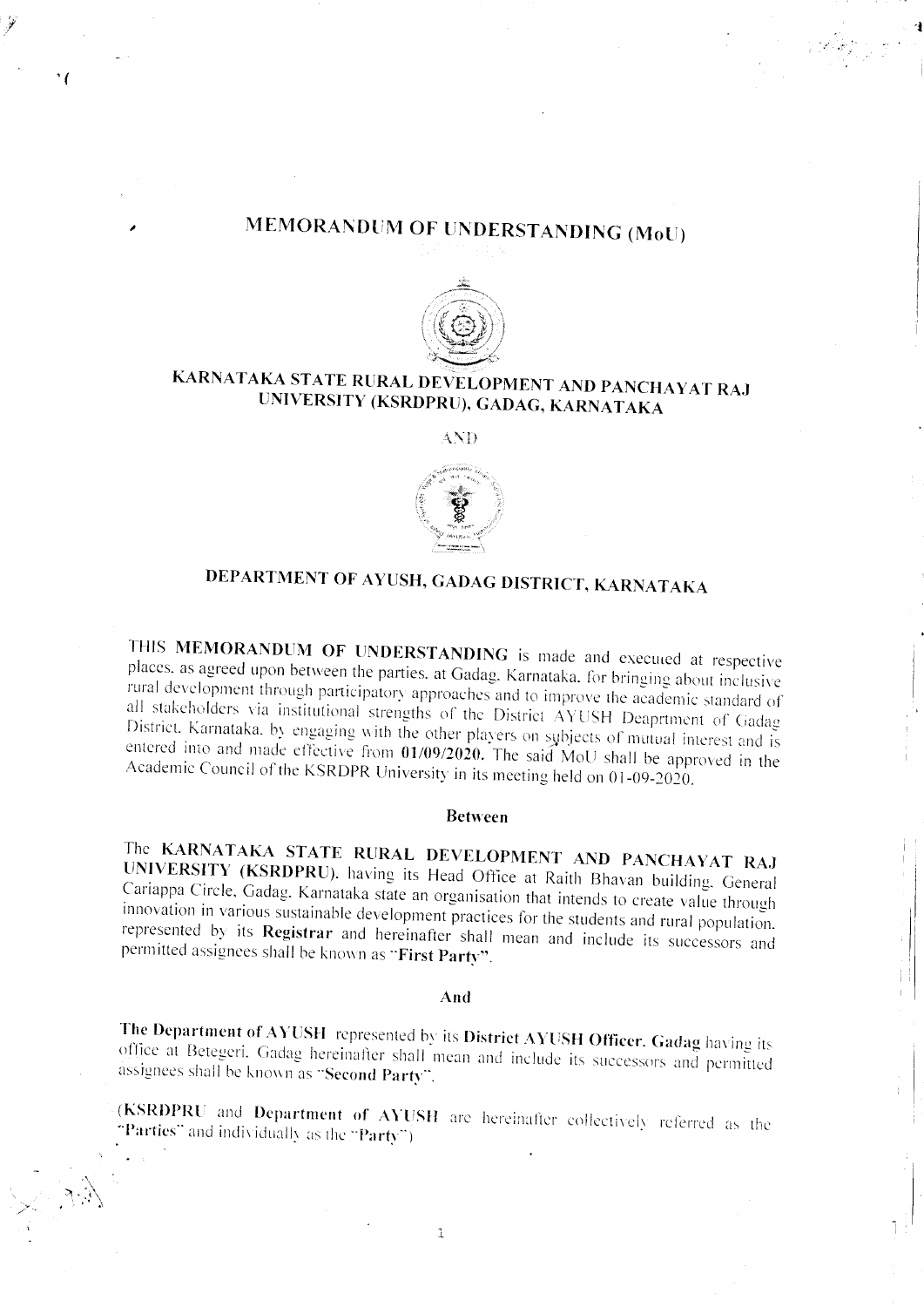## MEMORANDUM OF UNDERSTANDING (MoU)

' (



## KARNATAKA STATE RURAL DEVELOPMENT AND PANCHAYAT RAJ UNIVERSITY (KSRDPRU), GADAG, KARNATAKA

AND



# DEPARTMENT OF AYUSH, GADAG DISTRICT, KARNATAKA

THIS MEMORANDUM OF UNDERSTANDING is made and executed at respective places, as agreed upon between the parties, at Gadag. Karnataka, for bringing about inclusive rural development through participatory approaches and to improve the academic standard of all stakeholders via institutional strengths of the District AYUSH Deaprtment of Gadag District. Karnataka, by engaging with the other players on subjects of mutual interest and is entered into and made effective from 01/09/2020. The said MoU shall be approved in the Academic Council of the KSRDPR University in its meeting held on 01-09-2020.

#### **Between**

The KARNATAKA STATE RURAL DEVELOPMENT AND PANCHAYAT RAJ UNIVERSITY (KSRDPRU). having its Head Office at Raith Bhavan building. General Cariappa Circle, Gadag. Karnataka state an organisation that intends to create value through innovation in various sustainable development practices for the students and rural population. represented by its Registrar and hereinafter shall mean and include its successors and permitted assignees shall be known as "First Party".

#### And

The Department of AYUSH represented by its District AYUSH Officer. Gadag having its office at Betegeri. Gadag hereinafter shall mean and include its successors and permitted assignees shall be known as "Second Party".

(KSRDPRU and Department of AYUSH are hereinafter collectively referred as the "Parties" and individually as the "Party")

 $\hat{1}$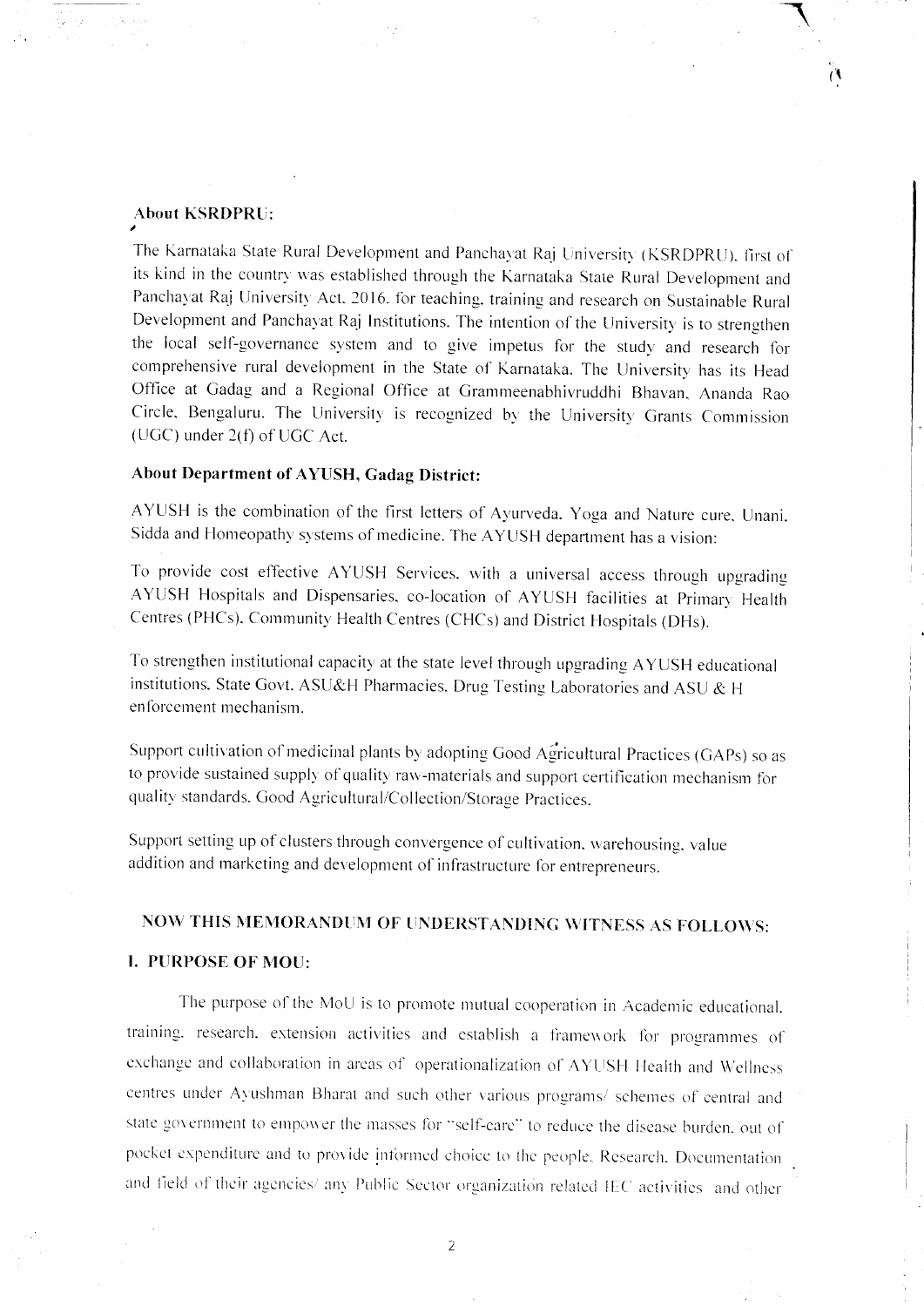#### **About KSRDPRU:**

The Karnataka State Rural Development and Panchayat Raj University (KSRDPRU), first of its kind in the country was established through the Karnataka State Rural Development and Panchayat Raj University Act. 2016. for teaching, training and research on Sustainable Rural Development and Panchayat Raj Institutions. The intention of the University is to strengthen the local self-governance system and to give impetus for the study and research for comprehensive rural development in the State of Karnataka. The University has its Head Office at Gadag and a Regional Office at Grammeenabhivruddhi Bhavan, Ananda Rao Circle, Bengaluru. The University is recognized by the University Grants Commission (UGC) under 2(f) of UGC Act.

 $\mathcal{O}$ 

### About Department of AYUSH, Gadag District:

AYUSH is the combination of the first letters of Ayurveda. Yoga and Nature cure, Unani, Sidda and Homeopathy systems of medicine. The AYUSH department has a vision:

To provide cost effective AYUSH Services, with a universal access through upgrading AYUSH Hospitals and Dispensaries, co-location of AYUSH facilities at Primary Health Centres (PHCs), Community Health Centres (CHCs) and District Hospitals (DHs).

To strengthen institutional capacity at the state level through upgrading AYUSH educational institutions. State Govt. ASU&H Pharmacies. Drug Testing Laboratories and ASU & H enforcement mechanism.

Support cultivation of medicinal plants by adopting Good Agricultural Practices (GAPs) so as to provide sustained supply of quality raw-materials and support certification mechanism for quality standards. Good Agricultural/Collection/Storage Practices.

Support setting up of clusters through convergence of cultivation, warehousing, value addition and marketing and development of infrastructure for entrepreneurs.

## NOW THIS MEMORANDUM OF UNDERSTANDING WITNESS AS FOLLOWS:

#### **I. PURPOSE OF MOU:**

The purpose of the MoU is to promote mutual cooperation in Academic educational. training, research, extension activities and establish a framework for programmes of exchange and collaboration in areas of operationalization of AYUSH Health and Wellness centres under Ayushman Bharat and such other various programs/ schemes of central and state government to empower the masses for "self-care" to reduce the disease burden, out of pocket expenditure and to provide informed choice to the people, Research, Documentation and field of their agencies/ any Public Sector organization related IEC activities and other

 $\overline{2}$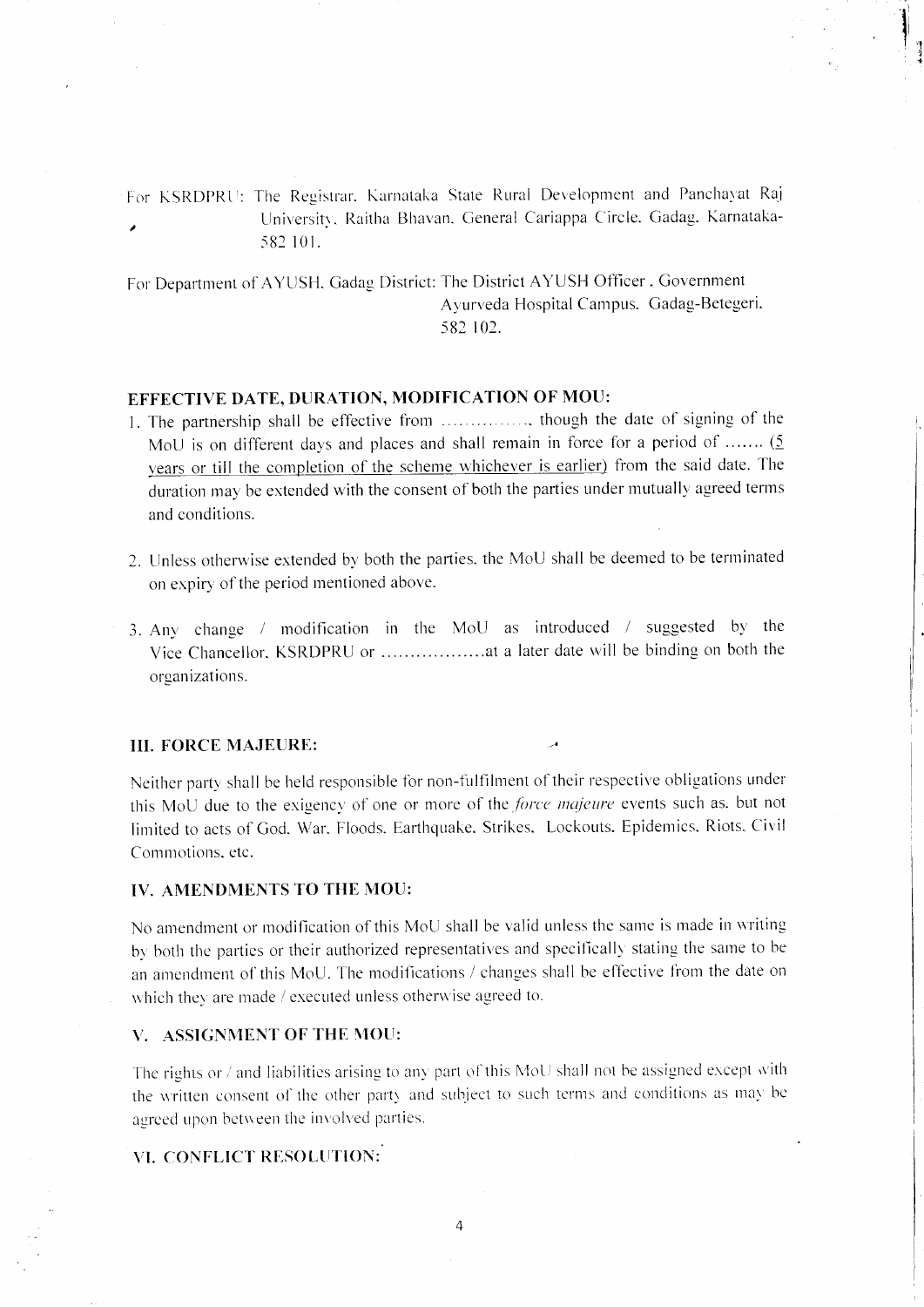For KSRDPRU: The Registrar, Karnataka State Rural Development and Panchayat Raj University, Raitha Bhavan, General Cariappa Circle, Gadag, Karnataka- $\overline{\phantom{a}}$ 582 101.

For Department of AYUSH, Gadag District: The District AYUSH Officer, Government Ayurveda Hospital Campus. Gadag-Betegeri. 582 102.

#### EFFECTIVE DATE, DURATION, MODIFICATION OF MOU:

- 1. The partnership shall be effective from ................, though the date of signing of the MoU is on different days and places and shall remain in force for a period of ....... (5) years or till the completion of the scheme whichever is earlier) from the said date. The duration may be extended with the consent of both the parties under mutually agreed terms and conditions.
- 2. Unless otherwise extended by both the parties, the MoU shall be deemed to be terminated on expiry of the period mentioned above.
- 3. Any change / modification in the MoU as introduced / suggested by the organizations.

#### **III. FORCE MAJEURE:**

Neither party shall be held responsible for non-fulfilment of their respective obligations under this MoU due to the exigency of one or more of the force majeure events such as, but not limited to acts of God, War. Floods. Earthquake, Strikes. Lockouts. Epidemics. Riots. Civil Commotions, etc.

#### **IV. AMENDMENTS TO THE MOU:**

No amendment or modification of this MoU shall be valid unless the same is made in writing by both the parties or their authorized representatives and specifically stating the same to be an amendment of this MoU. The modifications / changes shall be effective from the date on which they are made / executed unless otherwise agreed to.

#### V. ASSIGNMENT OF THE MOU:

The rights or / and liabilities arising to any part of this MoU shall not be assigned except with the written consent of the other party and subject to such terms and conditions as may be agreed upon between the involved parties.

## VI. CONFLICT RESOLUTION:

 $\Delta$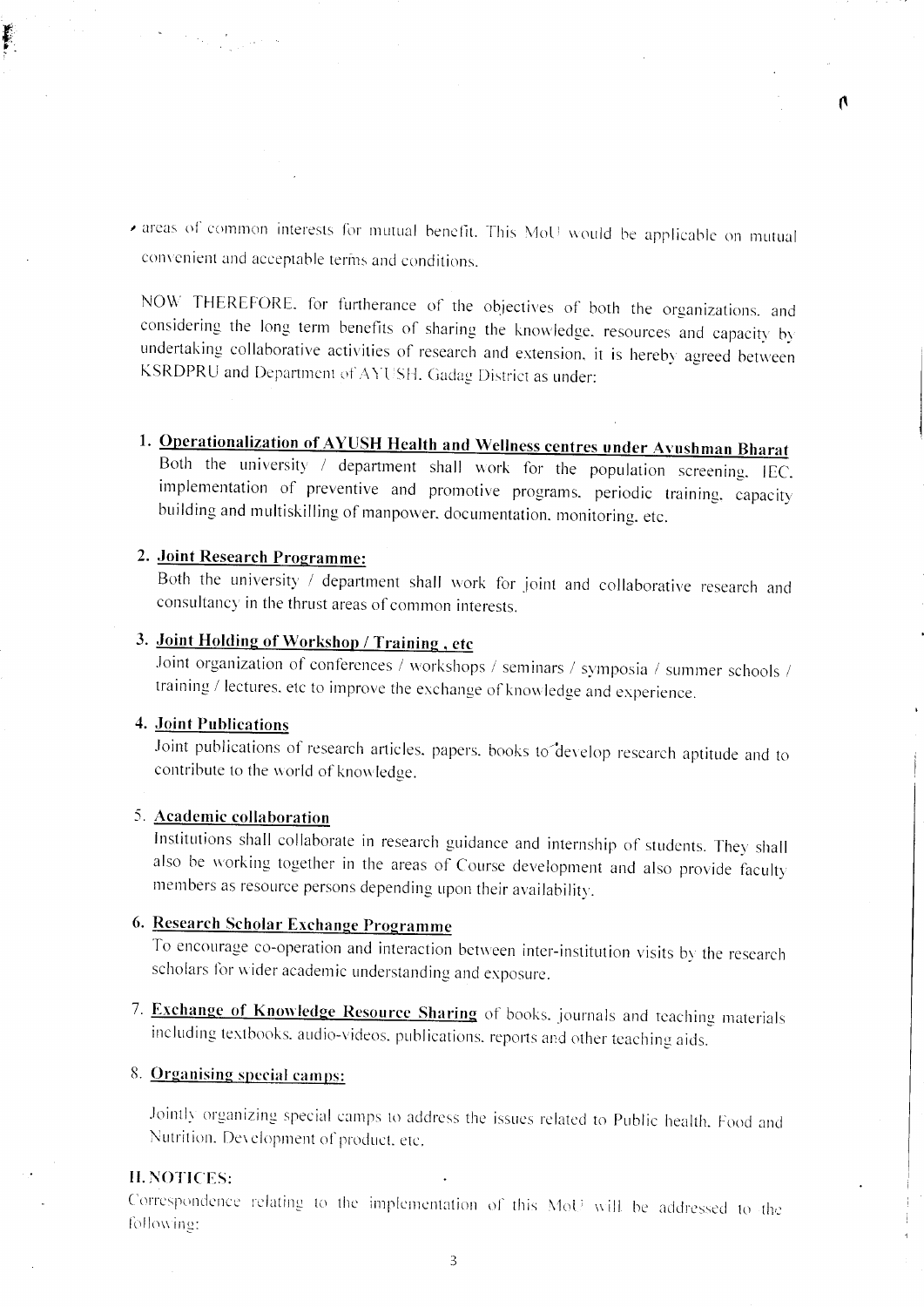areas of common interests for mutual benefit. This MoU would be applicable on mutual convenient and acceptable terms and conditions.

 $\mathbf{\Lambda}$ 

NOW THEREFORE, for furtherance of the objectives of both the organizations, and considering the long term benefits of sharing the knowledge, resources and capacity by undertaking collaborative activities of research and extension, it is hereby agreed between KSRDPRU and Department of AYUSH. Gadag District as under:

1. Operationalization of AYUSH Health and Wellness centres under Ayushman Bharat Both the university / department shall work for the population screening. IEC. implementation of preventive and promotive programs, periodic training, capacity building and multiskilling of manpower, documentation, monitoring, etc.

### 2. Joint Research Programme:

Both the university / department shall work for joint and collaborative research and consultancy in the thrust areas of common interests.

## 3. Joint Holding of Workshop / Training, etc

Joint organization of conferences / workshops / seminars / symposia / summer schools / training / lectures, etc to improve the exchange of knowledge and experience.

#### 4. Joint Publications

Joint publications of research articles, papers, books to develop research aptitude and to contribute to the world of knowledge.

## 5. Academic collaboration

Institutions shall collaborate in research guidance and internship of students. They shall also be working together in the areas of Course development and also provide faculty members as resource persons depending upon their availability.

## 6. Research Scholar Exchange Programme

To encourage co-operation and interaction between inter-institution visits by the research scholars for wider academic understanding and exposure.

7. Exchange of Knowledge Resource Sharing of books. journals and teaching materials including textbooks, audio-videos, publications, reports and other teaching aids.

#### 8. Organising special camps:

Jointly organizing special camps to address the issues related to Public health. Food and Nutrition. Development of product, etc.

#### **II. NOTICES:**

Correspondence relating to the implementation of this MoU will be addressed to the following: